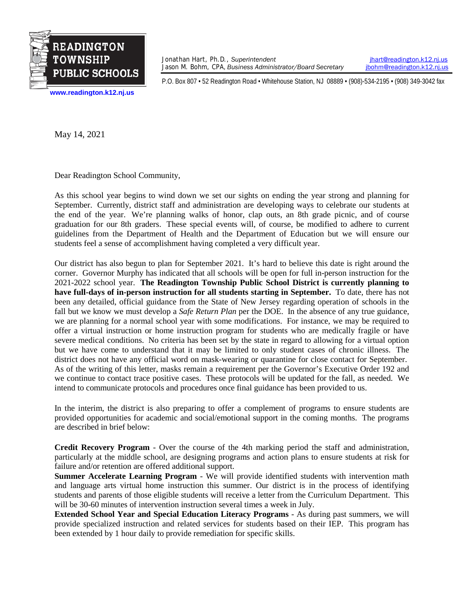

Jonathan Hart, Ph.D., *Superintendent*<br>Jason M. Bohm, CPA, *Business Administrator/Board Secretary jbohm@readington.k12.nj.us* Jason M. Bohm, CPA, *Business Administrator/Board Secretary* 

P.O. Box 807 • 52 Readington Road • Whitehouse Station, NJ 08889 • (908)-534-2195 • (908) 349-3042 fax

**[www.readington.k12.nj.us](http://www.readington.k12.nj.us/)**

May 14, 2021

Dear Readington School Community,

As this school year begins to wind down we set our sights on ending the year strong and planning for September. Currently, district staff and administration are developing ways to celebrate our students at the end of the year. We're planning walks of honor, clap outs, an 8th grade picnic, and of course graduation for our 8th graders. These special events will, of course, be modified to adhere to current guidelines from the Department of Health and the Department of Education but we will ensure our students feel a sense of accomplishment having completed a very difficult year.

Our district has also begun to plan for September 2021. It's hard to believe this date is right around the corner. Governor Murphy has indicated that all schools will be open for full in-person instruction for the 2021-2022 school year. **The Readington Township Public School District is currently planning to have full-days of in-person instruction for all students starting in September.** To date, there has not been any detailed, official guidance from the State of New Jersey regarding operation of schools in the fall but we know we must develop a *Safe Return Plan* per the DOE. In the absence of any true guidance, we are planning for a normal school year with some modifications. For instance, we may be required to offer a virtual instruction or home instruction program for students who are medically fragile or have severe medical conditions. No criteria has been set by the state in regard to allowing for a virtual option but we have come to understand that it may be limited to only student cases of chronic illness. The district does not have any official word on mask-wearing or quarantine for close contact for September. As of the writing of this letter, masks remain a requirement per the Governor's Executive Order 192 and we continue to contact trace positive cases. These protocols will be updated for the fall, as needed. We intend to communicate protocols and procedures once final guidance has been provided to us.

In the interim, the district is also preparing to offer a complement of programs to ensure students are provided opportunities for academic and social/emotional support in the coming months. The programs are described in brief below:

**Credit Recovery Program** - Over the course of the 4th marking period the staff and administration, particularly at the middle school, are designing programs and action plans to ensure students at risk for failure and/or retention are offered additional support.

**Summer Accelerate Learning Program** - We will provide identified students with intervention math and language arts virtual home instruction this summer. Our district is in the process of identifying students and parents of those eligible students will receive a letter from the Curriculum Department. This will be 30-60 minutes of intervention instruction several times a week in July.

**Extended School Year and Special Education Literacy Programs** - As during past summers, we will provide specialized instruction and related services for students based on their IEP. This program has been extended by 1 hour daily to provide remediation for specific skills.